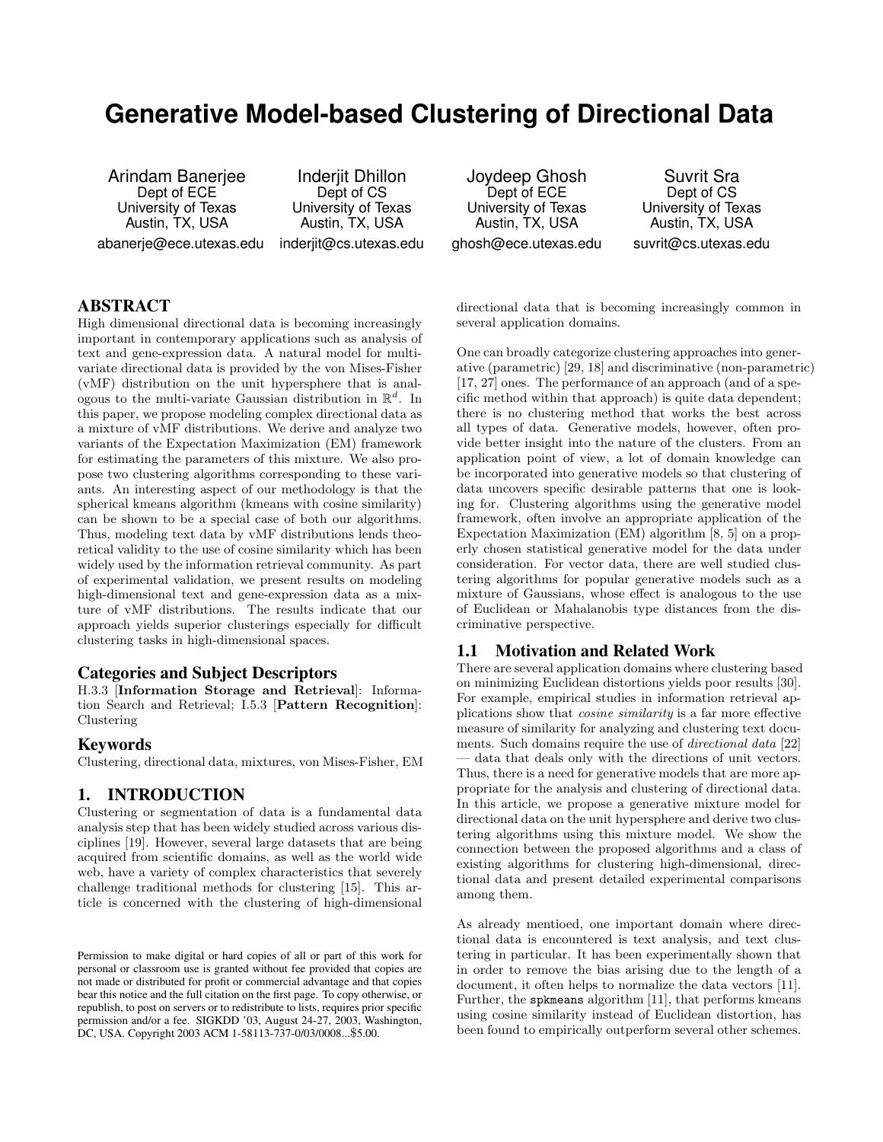# **Generative Model-based Clustering of Directional Data**

Arindam Banerjee Dept of ECE University of Texas Austin, TX, USA abanerje@ece.utexas.edu

Inderjit Dhillon Dept of CS University of Texas Austin, TX, USA inderjit@cs.utexas.edu

Joydeep Ghosh Dept of ECE University of Texas Austin, TX, USA ghosh@ece.utexas.edu

Suvrit Sra Dept of CS University of Texas Austin, TX, USA suvrit@cs.utexas.edu

# **ABSTRACT**

High dimensional directional data is becoming increasingly important in contemporary applications such as analysis of text and gene-expression data. A natural model for multivariate directional data is provided by the von Mises-Fisher (vMF) distribution on the unit hypersphere that is analogous to the multi-variate Gaussian distribution in  $\mathbb{R}^d$ . In this paper, we propose modeling complex directional data as a mixture of vMF distributions. We derive and analyze two variants of the Expectation Maximization (EM) framework for estimating the parameters of this mixture. We also propose two clustering algorithms corresponding to these variants. An interesting aspect of our methodology is that the spherical kmeans algorithm (kmeans with cosine similarity) can be shown to be a special case of both our algorithms. Thus, modeling text data by vMF distributions lends theoretical validity to the use of cosine similarity which has been widely used by the information retrieval community. As part of experimental validation, we present results on modeling high-dimensional text and gene-expression data as a mixture of vMF distributions. The results indicate that our approach yields superior clusterings especially for difficult clustering tasks in high-dimensional spaces.

#### **Categories and Subject Descriptors**

H.3.3 [Information Storage and Retrieval]: Information Search and Retrieval; I.5.3 [Pattern Recognition]: Clustering

#### **Keywords**

Clustering, directional data, mixtures, von Mises-Fisher, EM

#### **1. INTRODUCTION**

Clustering or segmentation of data is a fundamental data analysis step that has been widely studied across various disciplines [19]. However, several large datasets that are being acquired from scientific domains, as well as the world wide web, have a variety of complex characteristics that severely challenge traditional methods for clustering [15]. This article is concerned with the clustering of high-dimensional

directional data that is becoming increasingly common in several application domains.

One can broadly categorize clustering approaches into generative (parametric) [29, 18] and discriminative (non-parametric) [17, 27] ones. The performance of an approach (and of a specific method within that approach) is quite data dependent; there is no clustering method that works the best across all types of data. Generative models, however, often provide better insight into the nature of the clusters. From an application point of view, a lot of domain knowledge can be incorporated into generative models so that clustering of data uncovers specific desirable patterns that one is looking for. Clustering algorithms using the generative model framework, often involve an appropriate application of the Expectation Maximization (EM) algorithm [8, 5] on a properly chosen statistical generative model for the data under consideration. For vector data, there are well studied clustering algorithms for popular generative models such as a mixture of Gaussians, whose effect is analogous to the use of Euclidean or Mahalanobis type distances from the discriminative perspective.

# **1.1 Motivation and Related Work**

There are several application domains where clustering based on minimizing Euclidean distortions yields poor results [30]. For example, empirical studies in information retrieval applications show that cosine similarity is a far more effective measure of similarity for analyzing and clustering text documents. Such domains require the use of directional data [22] — data that deals only with the directions of unit vectors. Thus, there is a need for generative models that are more appropriate for the analysis and clustering of directional data. In this article, we propose a generative mixture model for directional data on the unit hypersphere and derive two clustering algorithms using this mixture model. We show the connection between the proposed algorithms and a class of existing algorithms for clustering high-dimensional, directional data and present detailed experimental comparisons among them.

As already mentioed, one important domain where directional data is encountered is text analysis, and text clustering in particular. It has been experimentally shown that in order to remove the bias arising due to the length of a document, it often helps to normalize the data vectors [11]. Further, the spkmeans algorithm [11], that performs kmeans using cosine similarity instead of Euclidean distortion, has been found to empirically outperform several other schemes.

Permission to make digital or hard copies of all or part of this work for personal or classroom use is granted without fee provided that copies are not made or distributed for profit or commercial advantage and that copies bear this notice and the full citation on the first page. To copy otherwise, or republish, to post on servers or to redistribute to lists, requires prior specific permission and/or a fee. SIGKDD '03, August 24-27, 2003, Washington, DC, USA. Copyright 2003 ACM 1-58113-737-0/03/0008...\$5.00.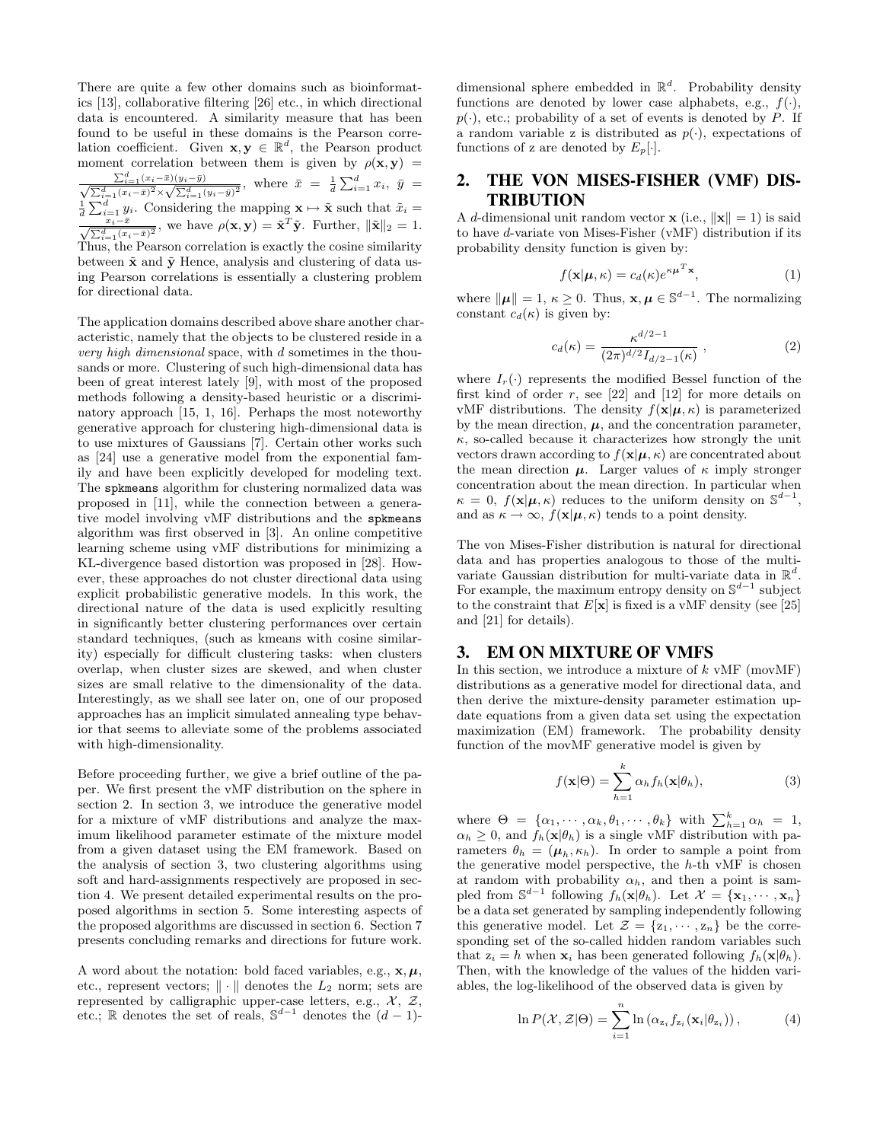There are quite a few other domains such as bioinformatics [13], collaborative filtering [26] etc., in which directional data is encountered. A similarity measure that has been found to be useful in these domains is the Pearson correlation coefficient. Given  $\mathbf{x}, \mathbf{y} \in \mathbb{R}^d$ , the Pearson product moment correlation between them is given by  $\rho(\mathbf{x}, \mathbf{y}) =$  $\frac{\sum_{i=1}^{d} (x_i - \bar{x})(y_i - \bar{y})}{\sqrt{\sum_{i=1}^{d} (x_i - \bar{x})^2} \times \sqrt{\sum_{i=1}^{d} (y_i - \bar{y})^2}}$ , where  $\bar{x} = \frac{1}{d} \sum_{i=1}^{d} x_i$ ,  $\bar{y} =$  $\frac{1}{d} \sum_{i=1}^{d} y_i$ . Considering the mapping  $\mathbf{x} \mapsto \tilde{\mathbf{x}}$  such that  $\tilde{x}_i =$  $\frac{x_i-\bar{x}}{\sqrt{\sum_{i=1}^d (x_i-\bar{x})^2}}$ , we have  $\rho(\mathbf{x}, \mathbf{y}) = \tilde{\mathbf{x}}^T \tilde{\mathbf{y}}$ . Further,  $\|\tilde{\mathbf{x}}\|_2 = 1$ . Thus, the Pearson correlation is exactly the cosine similarity between  $\tilde{\mathbf{x}}$  and  $\tilde{\mathbf{y}}$  Hence, analysis and clustering of data using Pearson correlations is essentially a clustering problem for directional data.

The application domains described above share another characteristic, namely that the objects to be clustered reside in a very high dimensional space, with d sometimes in the thousands or more. Clustering of such high-dimensional data has been of great interest lately [9], with most of the proposed methods following a density-based heuristic or a discriminatory approach [15, 1, 16]. Perhaps the most noteworthy generative approach for clustering high-dimensional data is to use mixtures of Gaussians [7]. Certain other works such as [24] use a generative model from the exponential family and have been explicitly developed for modeling text. The spkmeans algorithm for clustering normalized data was proposed in [11], while the connection between a generative model involving vMF distributions and the spkmeans algorithm was first observed in [3]. An online competitive learning scheme using vMF distributions for minimizing a KL-divergence based distortion was proposed in [28]. However, these approaches do not cluster directional data using explicit probabilistic generative models. In this work, the directional nature of the data is used explicitly resulting in significantly better clustering performances over certain standard techniques, (such as kmeans with cosine similarity) especially for difficult clustering tasks: when clusters overlap, when cluster sizes are skewed, and when cluster sizes are small relative to the dimensionality of the data. Interestingly, as we shall see later on, one of our proposed approaches has an implicit simulated annealing type behavior that seems to alleviate some of the problems associated with high-dimensionality.

Before proceeding further, we give a brief outline of the paper. We first present the vMF distribution on the sphere in section 2. In section 3, we introduce the generative model for a mixture of vMF distributions and analyze the maximum likelihood parameter estimate of the mixture model from a given dataset using the EM framework. Based on the analysis of section 3, two clustering algorithms using soft and hard-assignments respectively are proposed in section 4. We present detailed experimental results on the proposed algorithms in section 5. Some interesting aspects of the proposed algorithms are discussed in section 6. Section 7 presents concluding remarks and directions for future work.

A word about the notation: bold faced variables, e.g.,  $x, \mu$ , etc., represent vectors;  $\|\cdot\|$  denotes the  $L_2$  norm; sets are represented by calligraphic upper-case letters, e.g.,  $\mathcal{X}, \mathcal{Z},$ etc.; R denotes the set of reals,  $\mathbb{S}^{d-1}$  denotes the  $(d-1)$ -

dimensional sphere embedded in  $\mathbb{R}^d$ . Probability density functions are denoted by lower case alphabets, e.g.,  $f(.)$ ,  $p(\cdot)$ , etc.; probability of a set of events is denoted by P. If a random variable z is distributed as  $p(\cdot)$ , expectations of functions of z are denoted by  $E_p[\cdot]$ .

# **2. THE VON MISES-FISHER (VMF) DIS-TRIBUTION**

A d-dimensional unit random vector  $\mathbf{x}$  (i.e.,  $\|\mathbf{x}\| = 1$ ) is said to have d-variate von Mises-Fisher (vMF) distribution if its probability density function is given by:

$$
f(\mathbf{x}|\boldsymbol{\mu}, \kappa) = c_d(\kappa) e^{\kappa \boldsymbol{\mu}^T \mathbf{x}},
$$
\n(1)

where  $\|\boldsymbol{\mu}\| = 1, \, \kappa \geq 0$ . Thus,  $\mathbf{x}, \boldsymbol{\mu} \in \mathbb{S}^{d-1}$ . The normalizing constant  $c_d(\kappa)$  is given by:

$$
c_d(\kappa) = \frac{\kappa^{d/2 - 1}}{(2\pi)^{d/2} I_{d/2 - 1}(\kappa)},
$$
\n(2)

where  $I_r(\cdot)$  represents the modified Bessel function of the first kind of order  $r$ , see [22] and [12] for more details on vMF distributions. The density  $f(\mathbf{x}|\boldsymbol{\mu}, \kappa)$  is parameterized by the mean direction,  $\mu$ , and the concentration parameter,  $\kappa$ , so-called because it characterizes how strongly the unit vectors drawn according to  $f(\mathbf{x}|\boldsymbol{\mu}, \kappa)$  are concentrated about the mean direction  $\mu$ . Larger values of  $\kappa$  imply stronger concentration about the mean direction. In particular when  $\kappa = 0, f(\mathbf{x}|\boldsymbol{\mu}, \kappa)$  reduces to the uniform density on  $\mathbb{S}^{d-1}$ , and as  $\kappa \to \infty$ ,  $f(\mathbf{x}|\boldsymbol{\mu}, \kappa)$  tends to a point density.

The von Mises-Fisher distribution is natural for directional data and has properties analogous to those of the multivariate Gaussian distribution for multi-variate data in  $\mathbb{R}^d$ . For example, the maximum entropy density on  $\mathbb{S}^{d-1}$  subject to the constraint that  $E[\mathbf{x}]$  is fixed is a vMF density (see [25] and [21] for details).

# **3. EM ON MIXTURE OF VMFS**

In this section, we introduce a mixture of  $k$  vMF (movMF) distributions as a generative model for directional data, and then derive the mixture-density parameter estimation update equations from a given data set using the expectation maximization (EM) framework. The probability density function of the movMF generative model is given by

$$
f(\mathbf{x}|\Theta) = \sum_{h=1}^{k} \alpha_h f_h(\mathbf{x}|\theta_h),
$$
\n(3)

where  $\Theta = {\alpha_1, \cdots, \alpha_k, \theta_1, \cdots, \theta_k}$  with  $\sum_{h=1}^k \alpha_h = 1$ ,  $\alpha_h \geq 0$ , and  $f_h(\mathbf{x}|\theta_h)$  is a single vMF distribution with parameters  $\theta_h = (\mu_h, \kappa_h)$ . In order to sample a point from the generative model perspective, the  $h$ -th vMF is chosen at random with probability  $\alpha_h$ , and then a point is sampled from  $\mathbb{S}^{d-1}$  following  $f_h(\mathbf{x}|\theta_h)$ . Let  $\mathcal{X} = {\mathbf{x}_1, \cdots, \mathbf{x}_n}$ be a data set generated by sampling independently following this generative model. Let  $\mathcal{Z} = \{z_1, \dots, z_n\}$  be the corresponding set of the so-called hidden random variables such that  $z_i = h$  when  $x_i$  has been generated following  $f_h(x|\theta_h)$ . Then, with the knowledge of the values of the hidden variables, the log-likelihood of the observed data is given by

$$
\ln P(\mathcal{X}, \mathcal{Z}|\Theta) = \sum_{i=1}^{n} \ln \left( \alpha_{z_i} f_{z_i}(\mathbf{x}_i | \theta_{z_i}) \right), \tag{4}
$$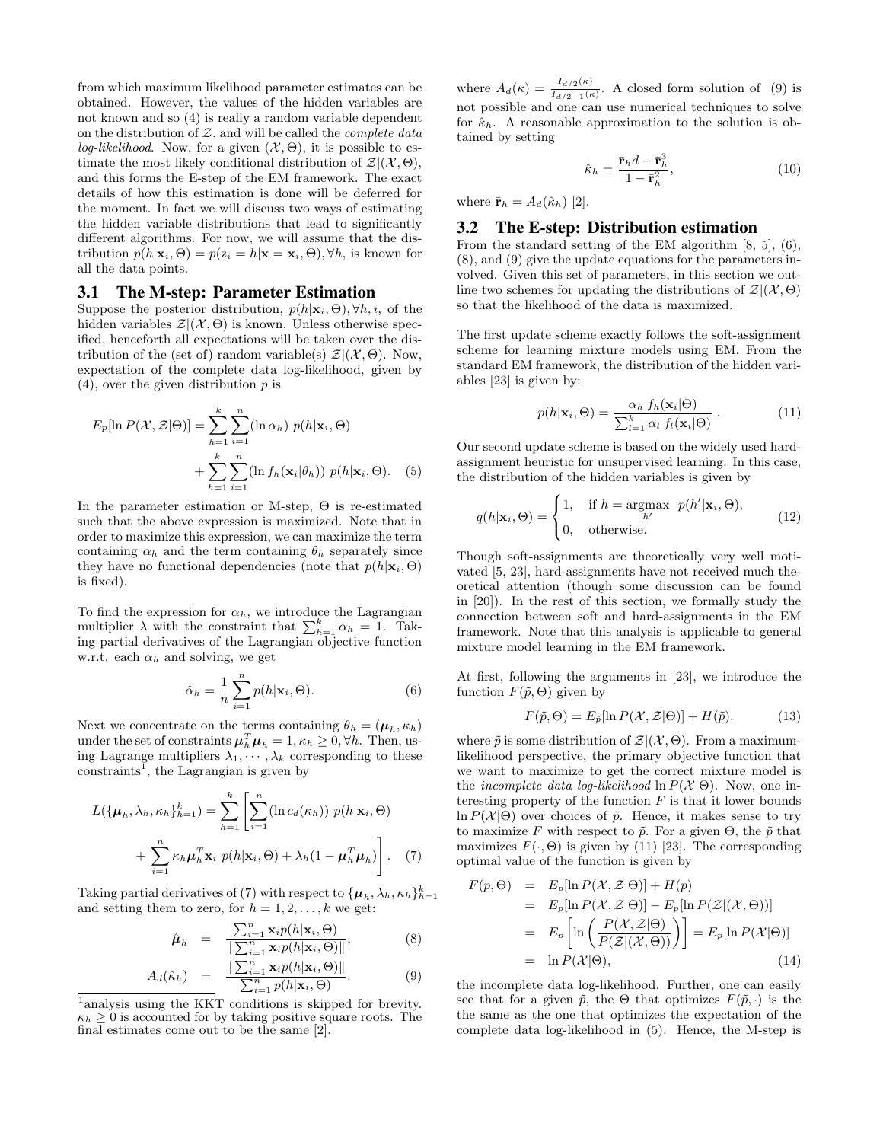from which maximum likelihood parameter estimates can be obtained. However, the values of the hidden variables are not known and so (4) is really a random variable dependent on the distribution of  $Z$ , and will be called the *complete data* log-likelihood. Now, for a given  $(\mathcal{X}, \Theta)$ , it is possible to estimate the most likely conditional distribution of  $\mathcal{Z} | (\mathcal{X}, \Theta)$ , and this forms the E-step of the EM framework. The exact details of how this estimation is done will be deferred for the moment. In fact we will discuss two ways of estimating the hidden variable distributions that lead to significantly different algorithms. For now, we will assume that the distribution  $p(h|\mathbf{x}_i, \Theta) = p(\mathbf{z}_i = h|\mathbf{x} = \mathbf{x}_i, \Theta), \forall h$ , is known for all the data points.

#### **3.1 The M-step: Parameter Estimation**

Suppose the posterior distribution,  $p(h|\mathbf{x}_i, \Theta), \forall h, i$ , of the hidden variables  $\mathcal{Z}|\langle \mathcal{X}, \Theta \rangle$  is known. Unless otherwise specified, henceforth all expectations will be taken over the distribution of the (set of) random variable(s)  $\mathcal{Z} | (\mathcal{X}, \Theta)$ . Now, expectation of the complete data log-likelihood, given by  $(4)$ , over the given distribution p is

$$
E_p[\ln P(\mathcal{X}, \mathcal{Z}|\Theta)] = \sum_{h=1}^k \sum_{i=1}^n (\ln \alpha_h) \ p(h|\mathbf{x}_i, \Theta)
$$

$$
+ \sum_{h=1}^k \sum_{i=1}^n (\ln f_h(\mathbf{x}_i|\theta_h)) \ p(h|\mathbf{x}_i, \Theta). \quad (5)
$$

In the parameter estimation or M-step,  $\Theta$  is re-estimated such that the above expression is maximized. Note that in order to maximize this expression, we can maximize the term containing  $\alpha_h$  and the term containing  $\theta_h$  separately since they have no functional dependencies (note that  $p(h|\mathbf{x}_i, \Theta)$ ) is fixed).

To find the expression for  $\alpha_h$ , we introduce the Lagrangian multiplier  $\lambda$  with the constraint that  $\sum_{h=1}^{k} \alpha_h = 1$ . Taking partial derivatives of the Lagrangian objective function w.r.t. each  $\alpha_h$  and solving, we get

$$
\hat{\alpha}_h = \frac{1}{n} \sum_{i=1}^n p(h|\mathbf{x}_i, \Theta).
$$
 (6)

Next we concentrate on the terms containing  $\theta_h = (\mu_h, \kappa_h)$ under the set of constraints  $\boldsymbol{\mu}_h^T \boldsymbol{\mu}_h = 1, \kappa_h \geq 0, \forall h$ . Then, using Lagrange multipliers  $\lambda_1, \dots, \lambda_k$  corresponding to these constraints<sup>1</sup>, the Lagrangian is given by

$$
L(\{\boldsymbol{\mu}_h, \lambda_h, \kappa_h\}_{h=1}^k) = \sum_{h=1}^k \left[ \sum_{i=1}^n (\ln c_d(\kappa_h)) \ p(h|\mathbf{x}_i, \Theta) + \sum_{i=1}^n \kappa_h \boldsymbol{\mu}_h^T \mathbf{x}_i \ p(h|\mathbf{x}_i, \Theta) + \lambda_h (1 - \boldsymbol{\mu}_h^T \boldsymbol{\mu}_h) \right]. \tag{7}
$$

Taking partial derivatives of (7) with respect to  $\{\boldsymbol{\mu}_h, \lambda_h, \kappa_h\}_{h=1}^k$ and setting them to zero, for  $h = 1, 2, \ldots, k$  we get:

$$
\hat{\boldsymbol{\mu}}_h = \frac{\sum_{i=1}^n \mathbf{x}_i p(h|\mathbf{x}_i, \Theta)}{\|\sum_{i=1}^n \mathbf{x}_i p(h|\mathbf{x}_i, \Theta)\|},
$$
\n(8)

$$
A_d(\hat{\kappa}_h) = \frac{\|\sum_{i=1}^n \mathbf{x}_i p(h|\mathbf{x}_i, \Theta)\|}{\sum_{i=1}^n p(h|\mathbf{x}_i, \Theta)}.
$$
 (9)

<sup>1</sup> analysis using the KKT conditions is skipped for brevity.  $\kappa_h \geq 0$  is accounted for by taking positive square roots. The final estimates come out to be the same [2].

where  $A_d(\kappa) = \frac{I_{d/2}(\kappa)}{I_{d/2}(\kappa)}$  $\frac{I_{d/2}^{(k)}(k)}{I_{d/2-1}(k)}$ . A closed form solution of (9) is not possible and one can use numerical techniques to solve for  $\hat{\kappa}_h$ . A reasonable approximation to the solution is obtained by setting

$$
\hat{\kappa}_h = \frac{\bar{\mathbf{r}}_h d - \bar{\mathbf{r}}_h^3}{1 - \bar{\mathbf{r}}_h^2},\tag{10}
$$

where  $\bar{\mathbf{r}}_h = A_d(\hat{\kappa}_h)$  [2].

#### **3.2 The E-step: Distribution estimation**

From the standard setting of the EM algorithm [8, 5], (6), (8), and (9) give the update equations for the parameters involved. Given this set of parameters, in this section we outline two schemes for updating the distributions of  $\mathcal{Z}(\mathcal{X}, \Theta)$ so that the likelihood of the data is maximized.

The first update scheme exactly follows the soft-assignment scheme for learning mixture models using EM. From the standard EM framework, the distribution of the hidden variables [23] is given by:

$$
p(h|\mathbf{x}_i, \Theta) = \frac{\alpha_h f_h(\mathbf{x}_i|\Theta)}{\sum_{l=1}^k \alpha_l f_l(\mathbf{x}_i|\Theta)}.
$$
 (11)

Our second update scheme is based on the widely used hardassignment heuristic for unsupervised learning. In this case, the distribution of the hidden variables is given by

$$
q(h|\mathbf{x}_i, \Theta) = \begin{cases} 1, & \text{if } h = \underset{h'}{\text{argmax}} \ p(h'|\mathbf{x}_i, \Theta), \\ 0, & \text{otherwise.} \end{cases}
$$
(12)

Though soft-assignments are theoretically very well motivated [5, 23], hard-assignments have not received much theoretical attention (though some discussion can be found in [20]). In the rest of this section, we formally study the connection between soft and hard-assignments in the EM framework. Note that this analysis is applicable to general mixture model learning in the EM framework.

At first, following the arguments in [23], we introduce the function  $F(\tilde{p}, \Theta)$  given by

$$
F(\tilde{p}, \Theta) = E_{\tilde{p}}[\ln P(\mathcal{X}, \mathcal{Z}|\Theta)] + H(\tilde{p}).
$$
 (13)

where  $\tilde{p}$  is some distribution of  $\mathcal{Z}(\mathcal{X}, \Theta)$ . From a maximumlikelihood perspective, the primary objective function that we want to maximize to get the correct mixture model is the *incomplete data log-likelihood* ln  $P(X|\Theta)$ . Now, one interesting property of the function  $F$  is that it lower bounds ln  $P(X|\Theta)$  over choices of  $\tilde{p}$ . Hence, it makes sense to try to maximize F with respect to  $\tilde{p}$ . For a given  $\Theta$ , the  $\tilde{p}$  that maximizes  $F(\cdot, \Theta)$  is given by (11) [23]. The corresponding optimal value of the function is given by

$$
F(p, \Theta) = E_p[\ln P(\mathcal{X}, \mathcal{Z}|\Theta)] + H(p)
$$
  
=  $E_p[\ln P(\mathcal{X}, \mathcal{Z}|\Theta)] - E_p[\ln P(\mathcal{Z}|(\mathcal{X}, \Theta))]$   
=  $E_p\left[\ln \left(\frac{P(\mathcal{X}, \mathcal{Z}|\Theta)}{P(\mathcal{Z}|(\mathcal{X}, \Theta))}\right)\right] = E_p[\ln P(\mathcal{X}|\Theta)]$   
=  $\ln P(\mathcal{X}|\Theta),$  (14)

the incomplete data log-likelihood. Further, one can easily see that for a given  $\tilde{p}$ , the  $\Theta$  that optimizes  $F(\tilde{p}, \cdot)$  is the the same as the one that optimizes the expectation of the complete data log-likelihood in (5). Hence, the M-step is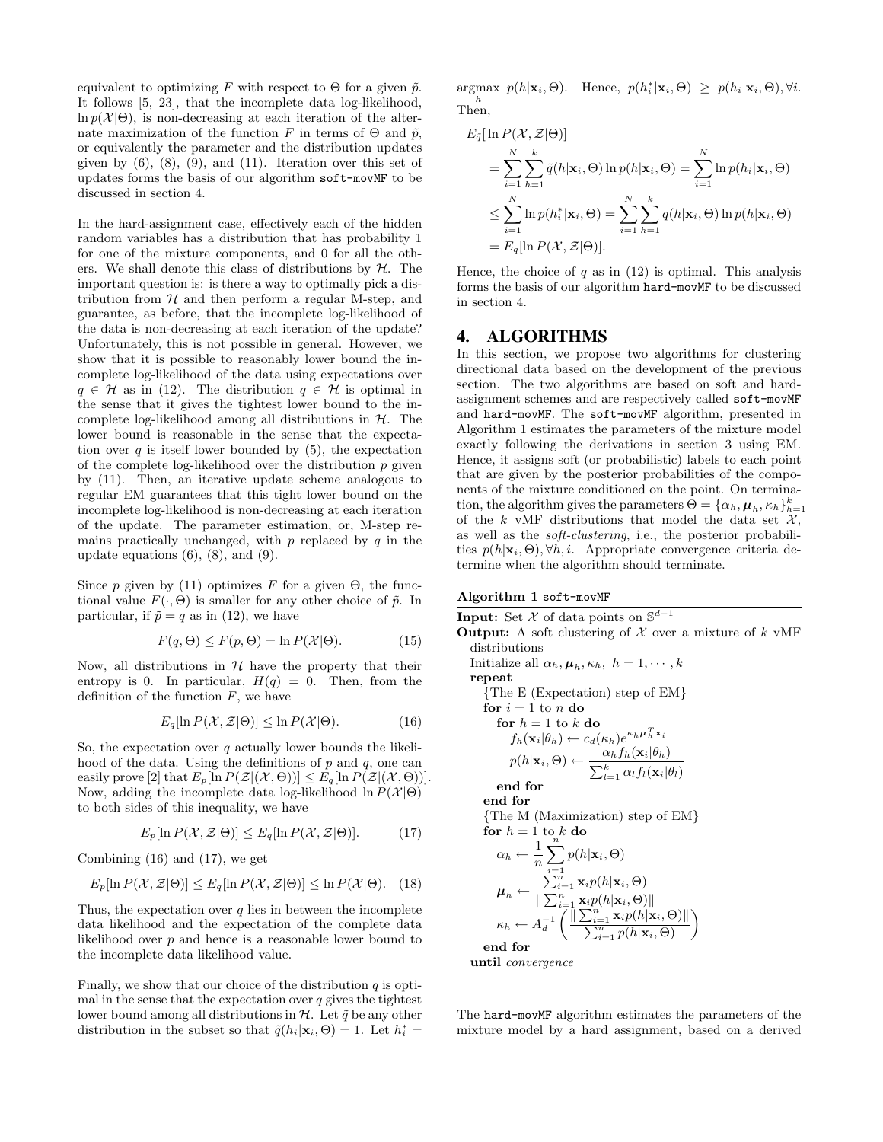equivalent to optimizing F with respect to  $\Theta$  for a given  $\tilde{p}$ . It follows [5, 23], that the incomplete data log-likelihood,  $\ln p(\mathcal{X}|\Theta)$ , is non-decreasing at each iteration of the alternate maximization of the function F in terms of  $\Theta$  and  $\tilde{p}$ , or equivalently the parameter and the distribution updates given by  $(6)$ ,  $(8)$ ,  $(9)$ , and  $(11)$ . Iteration over this set of updates forms the basis of our algorithm soft-movMF to be discussed in section 4.

In the hard-assignment case, effectively each of the hidden random variables has a distribution that has probability 1 for one of the mixture components, and 0 for all the others. We shall denote this class of distributions by  $H$ . The important question is: is there a way to optimally pick a distribution from  $H$  and then perform a regular M-step, and guarantee, as before, that the incomplete log-likelihood of the data is non-decreasing at each iteration of the update? Unfortunately, this is not possible in general. However, we show that it is possible to reasonably lower bound the incomplete log-likelihood of the data using expectations over  $q \in \mathcal{H}$  as in (12). The distribution  $q \in \mathcal{H}$  is optimal in the sense that it gives the tightest lower bound to the incomplete log-likelihood among all distributions in  $H$ . The lower bound is reasonable in the sense that the expectation over  $q$  is itself lower bounded by  $(5)$ , the expectation of the complete log-likelihood over the distribution  $p$  given by (11). Then, an iterative update scheme analogous to regular EM guarantees that this tight lower bound on the incomplete log-likelihood is non-decreasing at each iteration of the update. The parameter estimation, or, M-step remains practically unchanged, with  $p$  replaced by  $q$  in the update equations  $(6)$ ,  $(8)$ , and  $(9)$ .

Since p given by (11) optimizes F for a given  $\Theta$ , the functional value  $F(\cdot, \Theta)$  is smaller for any other choice of  $\tilde{p}$ . In particular, if  $\tilde{p} = q$  as in (12), we have

$$
F(q, \Theta) \le F(p, \Theta) = \ln P(\mathcal{X}|\Theta). \tag{15}
$$

Now, all distributions in  $H$  have the property that their entropy is 0. In particular,  $H(q) = 0$ . Then, from the definition of the function  $F$ , we have

$$
E_q[\ln P(\mathcal{X}, \mathcal{Z}|\Theta)] \le \ln P(\mathcal{X}|\Theta). \tag{16}
$$

So, the expectation over  $q$  actually lower bounds the likelihood of the data. Using the definitions of  $p$  and  $q$ , one can easily prove [2] that  $E_p[\ln P(\mathcal{Z}|(\mathcal{X}, \Theta))] \leq E_q[\ln P(\mathcal{Z}|(\mathcal{X}, \Theta))].$ Now, adding the incomplete data log-likelihood  $\ln P(X|\Theta)$ to both sides of this inequality, we have

$$
E_p[\ln P(\mathcal{X}, \mathcal{Z}|\Theta)] \le E_q[\ln P(\mathcal{X}, \mathcal{Z}|\Theta)].
$$
 (17)

Combining (16) and (17), we get

$$
E_p[\ln P(\mathcal{X}, \mathcal{Z}|\Theta)] \le E_q[\ln P(\mathcal{X}, \mathcal{Z}|\Theta)] \le \ln P(\mathcal{X}|\Theta). \quad (18)
$$

Thus, the expectation over  $q$  lies in between the incomplete data likelihood and the expectation of the complete data likelihood over p and hence is a reasonable lower bound to the incomplete data likelihood value.

Finally, we show that our choice of the distribution  $q$  is optimal in the sense that the expectation over  $q$  gives the tightest lower bound among all distributions in  $H$ . Let  $\tilde{q}$  be any other distribution in the subset so that  $\tilde{q}(h_i|\mathbf{x}_i,\Theta) = 1$ . Let  $h_i^* =$ 

 $\arg \max_{i} p(h|\mathbf{x}_i, \Theta)$ . Hence,  $p(h_i^*|\mathbf{x}_i, \Theta) \geq p(h_i|\mathbf{x}_i, \Theta), \forall i$ . h Then,

$$
E_{\tilde{q}}\big[\ln P(\mathcal{X},\mathcal{Z}|\Theta)\big]
$$

$$
= \sum_{i=1}^{N} \sum_{h=1}^{k} \tilde{q}(h|\mathbf{x}_i, \Theta) \ln p(h|\mathbf{x}_i, \Theta) = \sum_{i=1}^{N} \ln p(h_i|\mathbf{x}_i, \Theta)
$$
  

$$
\leq \sum_{i=1}^{N} \ln p(h_i^*|\mathbf{x}_i, \Theta) = \sum_{i=1}^{N} \sum_{h=1}^{k} q(h|\mathbf{x}_i, \Theta) \ln p(h|\mathbf{x}_i, \Theta)
$$
  

$$
= E_q[\ln P(\mathcal{X}, \mathcal{Z}|\Theta)].
$$

Hence, the choice of  $q$  as in (12) is optimal. This analysis forms the basis of our algorithm hard-movMF to be discussed in section 4.

# **4. ALGORITHMS**

In this section, we propose two algorithms for clustering directional data based on the development of the previous section. The two algorithms are based on soft and hardassignment schemes and are respectively called soft-movMF and hard-movMF. The soft-movMF algorithm, presented in Algorithm 1 estimates the parameters of the mixture model exactly following the derivations in section 3 using EM. Hence, it assigns soft (or probabilistic) labels to each point that are given by the posterior probabilities of the components of the mixture conditioned on the point. On termination, the algorithm gives the parameters  $\Theta = {\alpha_h, \mu_h, \kappa_h}_{h=1}^k$ of the k vMF distributions that model the data set  $\mathcal{X},$ as well as the soft-clustering, i.e., the posterior probabilities  $p(h|\mathbf{x}_i, \Theta)$ ,  $\forall h, i$ . Appropriate convergence criteria determine when the algorithm should terminate.

#### Algorithm 1 soft-movMF

**Input:** Set  $\mathcal{X}$  of data points on  $\mathbb{S}^{d-1}$ **Output:** A soft clustering of  $\mathcal{X}$  over a mixture of k vMF distributions Initialize all  $\alpha_h, \mu_h, \kappa_h, h = 1, \cdots, k$ repeat {The E (Expectation) step of EM} for  $i = 1$  to n do for  $h = 1$  to  $k$  do  $f_h(\mathbf{x}_i|\theta_h) \leftarrow c_d(\kappa_h)e^{\kappa_h\boldsymbol{\mu}_h^T\mathbf{x}_i}$  $p(h|\mathbf{x}_i, \Theta) \leftarrow \frac{\alpha_h f_h(\mathbf{x}_i|\theta_h)}{\sum_{k=0}^{k} f_k(\mathbf{x}_i|\theta_h)}$  $\sum_{l=1}^k \alpha_l f_l(\mathbf{x}_i | \theta_l)$ end for end for {The M (Maximization) step of EM} for  $h = 1$  to  $k$  do  $\alpha_h \leftarrow \frac{1}{n}$ n  $\sum_{n=1}^{\infty}$  $\sum_{i=1}^{\infty} p(h|\mathbf{x}_i, \Theta)$  $\boldsymbol{\mu}_h \leftarrow$  $\sum_{i=1}^n \mathbf{x}_i p(h|\mathbf{x}_i, \Theta)$  $\|\sum_{i=1}^n \mathbf{x}_i p(h|\mathbf{x}_i, \Theta)\|$  $\kappa_h \leftarrow A_d^{-1}$  $\left( \frac{\left\| \sum_{i=1}^{n} \mathbf{x}_{i} p(h|\mathbf{x}_{i}, \Theta) \right\|}{\sum_{i=1}^{n} p(h|\mathbf{x}_{i}, \Theta)} \right)$ end for until convergence

The hard-movMF algorithm estimates the parameters of the mixture model by a hard assignment, based on a derived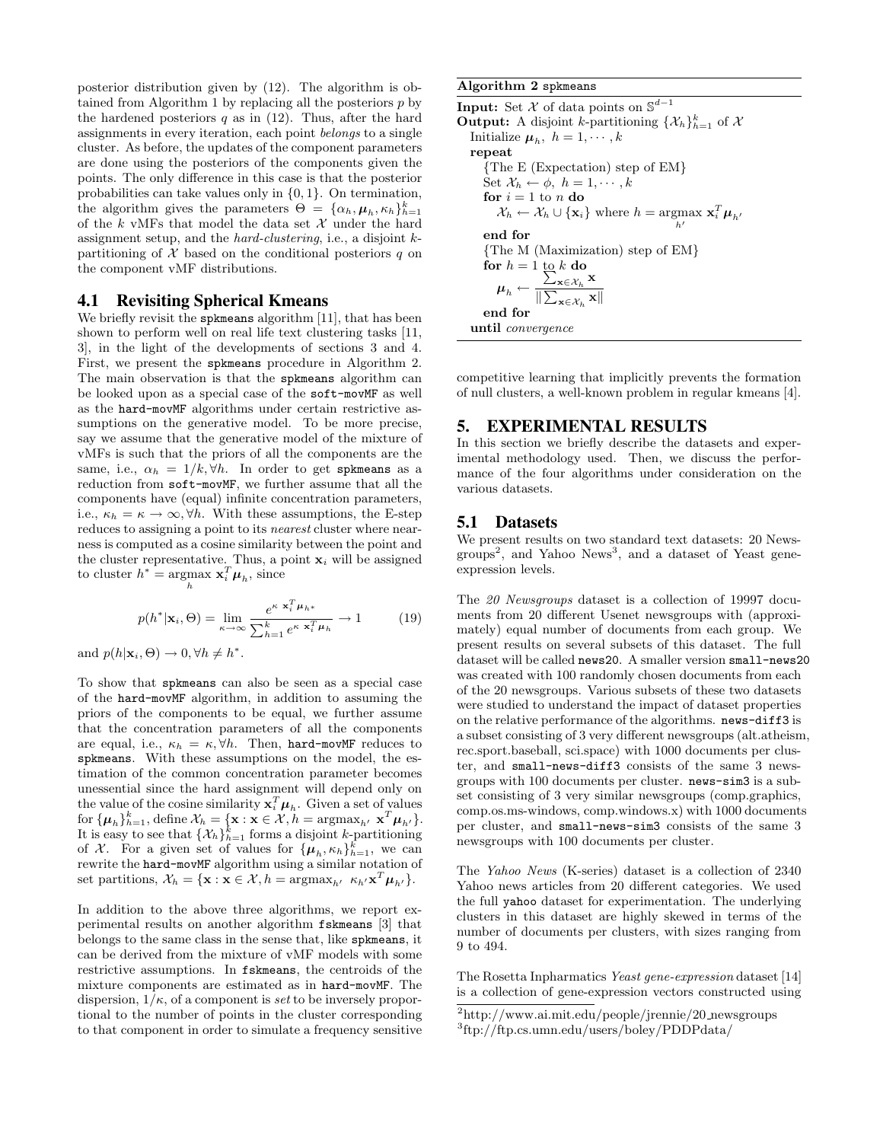posterior distribution given by (12). The algorithm is obtained from Algorithm 1 by replacing all the posteriors  $p$  by the hardened posteriors  $q$  as in (12). Thus, after the hard assignments in every iteration, each point belongs to a single cluster. As before, the updates of the component parameters are done using the posteriors of the components given the points. The only difference in this case is that the posterior probabilities can take values only in {0, 1}. On termination, the algorithm gives the parameters  $\Theta = {\alpha_h, \mu_h, \kappa_h}_{h=1}^k$ of the k vMFs that model the data set  $\mathcal X$  under the hard assignment setup, and the hard-clustering, i.e., a disjoint kpartitioning of  $X$  based on the conditional posteriors q on the component vMF distributions.

## **4.1 Revisiting Spherical Kmeans**

We briefly revisit the spkmeans algorithm [11], that has been shown to perform well on real life text clustering tasks [11, 3], in the light of the developments of sections 3 and 4. First, we present the spkmeans procedure in Algorithm 2. The main observation is that the spkmeans algorithm can be looked upon as a special case of the soft-movMF as well as the hard-movMF algorithms under certain restrictive assumptions on the generative model. To be more precise, say we assume that the generative model of the mixture of vMFs is such that the priors of all the components are the same, i.e.,  $\alpha_h = 1/k, \forall h$ . In order to get spkmeans as a reduction from soft-movMF, we further assume that all the components have (equal) infinite concentration parameters, i.e.,  $\kappa_h = \kappa \to \infty$ ,  $\forall h$ . With these assumptions, the E-step reduces to assigning a point to its nearest cluster where nearness is computed as a cosine similarity between the point and the cluster representative. Thus, a point  $x_i$  will be assigned to cluster  $h^* = \arg \max_{\mathbf{x}_i} \mathbf{x}_i^T \boldsymbol{\mu}_h$ , since h

$$
p(h^*|\mathbf{x}_i, \Theta) = \lim_{\kappa \to \infty} \frac{e^{\kappa \ \mathbf{x}_i^T \boldsymbol{\mu}_h *}}{\sum_{h=1}^k e^{\kappa \ \mathbf{x}_i^T \boldsymbol{\mu}_h}} \to 1 \tag{19}
$$

and  $p(h|\mathbf{x}_i, \Theta) \to 0, \forall h \neq h^*$ .

To show that spkmeans can also be seen as a special case of the hard-movMF algorithm, in addition to assuming the priors of the components to be equal, we further assume that the concentration parameters of all the components are equal, i.e.,  $\kappa_h = \kappa, \forall h$ . Then, hard-movMF reduces to spkmeans. With these assumptions on the model, the estimation of the common concentration parameter becomes unessential since the hard assignment will depend only on the value of the cosine similarity  $x_i^T \mu_h$ . Given a set of values for  $\{\boldsymbol{\mu}_h\}_{h=1}^k$ , define  $\mathcal{X}_h = {\mathbf{x} : \mathbf{x} \in \mathcal{X}, h = \operatorname{argmax}_{h'} \mathbf{x}^T \boldsymbol{\mu}_{h'}\}.$ It is easy to see that  $\{\mathcal{X}_h\}_{h=1}^k$  forms a disjoint k-partitioning of X. For a given set of values for  $\{\boldsymbol{\mu}_h, \kappa_h\}_{h=1}^k$ , we can rewrite the hard-movMF algorithm using a similar notation of set partitions,  $\mathcal{X}_h = {\mathbf{x} : \mathbf{x} \in \mathcal{X}, h = \text{argmax}_{h'} \ \kappa_{h'} \mathbf{x}^T \boldsymbol{\mu}_{h'}}.$ 

In addition to the above three algorithms, we report experimental results on another algorithm fskmeans [3] that belongs to the same class in the sense that, like spkmeans, it can be derived from the mixture of vMF models with some restrictive assumptions. In fskmeans, the centroids of the mixture components are estimated as in hard-movMF. The dispersion,  $1/\kappa$ , of a component is set to be inversely proportional to the number of points in the cluster corresponding to that component in order to simulate a frequency sensitive

#### Algorithm 2 spkmeans

**Input:** Set  $\mathcal{X}$  of data points on  $\mathbb{S}^{d-1}$ **Output:** A disjoint k-partitioning  $\{\mathcal{X}_h\}_{h=1}^k$  of  $\mathcal{X}$ Initialize  $\mu_h$ ,  $h = 1, \dots, k$ repeat {The E (Expectation) step of EM} Set  $\mathcal{X}_h \leftarrow \phi, h = 1, \cdots, k$ for  $i = 1$  to  $n$  do  $\mathcal{X}_h \leftarrow \mathcal{X}_h \cup \{\mathbf{x}_i\}$  where  $h = \underset{h'}{\operatorname{argmax}} \ \mathbf{x}_i^T \boldsymbol{\mu}_{h'}$ end for {The M (Maximization) step of EM} for  $h = 1$  to  $k$  do  $\boldsymbol{\mu}_h \leftarrow$  $\sum_{\mathbf{x} \in \mathcal{X}_h}^n \mathbf{x}$  $\|\sum_{\mathbf{x} \in \mathcal{X}_h} \mathbf{x}\|$ end for until convergence

competitive learning that implicitly prevents the formation of null clusters, a well-known problem in regular kmeans [4].

## **5. EXPERIMENTAL RESULTS**

In this section we briefly describe the datasets and experimental methodology used. Then, we discuss the performance of the four algorithms under consideration on the various datasets.

# **5.1 Datasets**

We present results on two standard text datasets: 20 Newsgroups<sup>2</sup>, and Yahoo News<sup>3</sup>, and a dataset of Yeast geneexpression levels.

The 20 Newsgroups dataset is a collection of 19997 documents from 20 different Usenet newsgroups with (approximately) equal number of documents from each group. We present results on several subsets of this dataset. The full dataset will be called news20. A smaller version small-news20 was created with 100 randomly chosen documents from each of the 20 newsgroups. Various subsets of these two datasets were studied to understand the impact of dataset properties on the relative performance of the algorithms. news-diff3 is a subset consisting of 3 very different newsgroups (alt.atheism, rec.sport.baseball, sci.space) with 1000 documents per cluster, and small-news-diff3 consists of the same 3 newsgroups with 100 documents per cluster. news-sim3 is a subset consisting of 3 very similar newsgroups (comp.graphics, comp.os.ms-windows, comp.windows.x) with 1000 documents per cluster, and small-news-sim3 consists of the same 3 newsgroups with 100 documents per cluster.

The Yahoo News (K-series) dataset is a collection of 2340 Yahoo news articles from 20 different categories. We used the full yahoo dataset for experimentation. The underlying clusters in this dataset are highly skewed in terms of the number of documents per clusters, with sizes ranging from 9 to 494.

The Rosetta Inpharmatics Yeast gene-expression dataset [14] is a collection of gene-expression vectors constructed using

<sup>2</sup>http://www.ai.mit.edu/people/jrennie/20 newsgroups

<sup>3</sup> ftp://ftp.cs.umn.edu/users/boley/PDDPdata/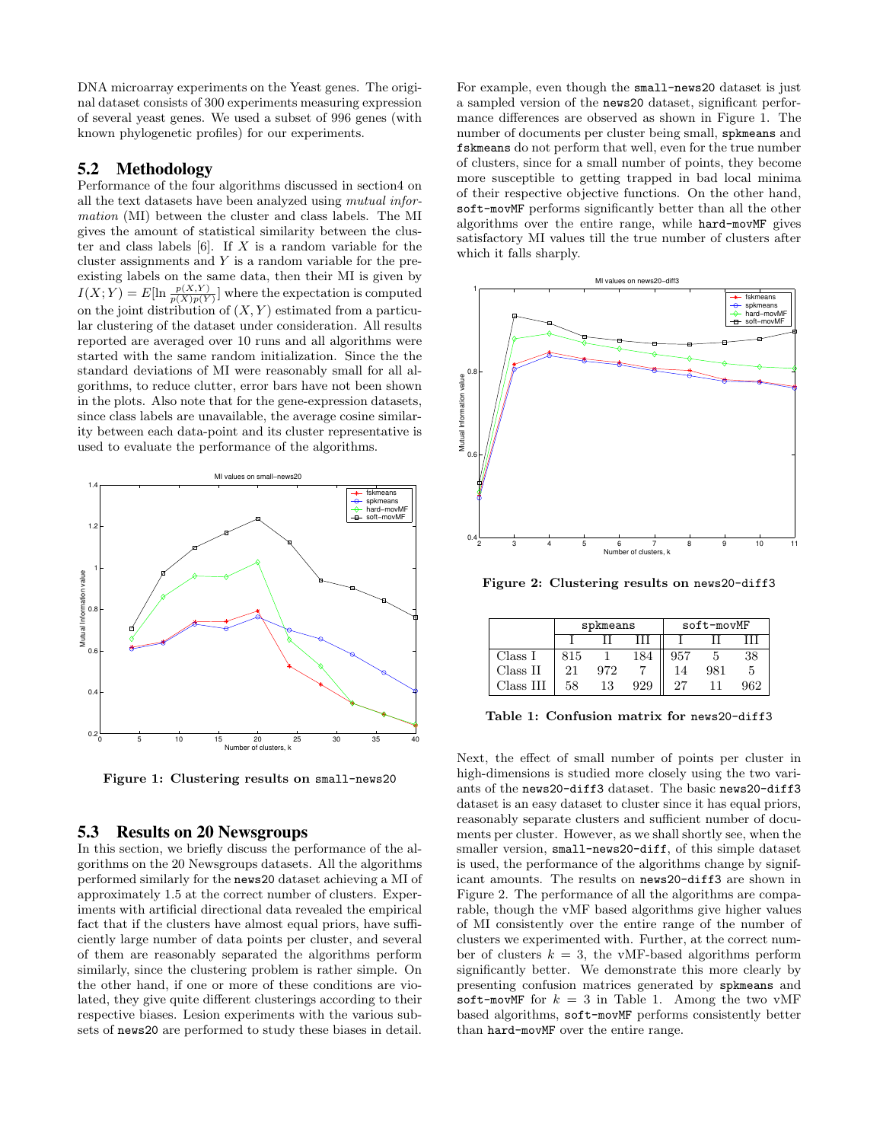DNA microarray experiments on the Yeast genes. The original dataset consists of 300 experiments measuring expression of several yeast genes. We used a subset of 996 genes (with known phylogenetic profiles) for our experiments.

# **5.2 Methodology**

Performance of the four algorithms discussed in section4 on all the text datasets have been analyzed using mutual information (MI) between the cluster and class labels. The MI gives the amount of statistical similarity between the cluster and class labels  $[6]$ . If X is a random variable for the cluster assignments and  $Y$  is a random variable for the preexisting labels on the same data, then their MI is given by  $I(X;Y) = E[\ln \frac{p(X,Y)}{p(X)p(Y)}]$  where the expectation is computed on the joint distribution of  $(X, Y)$  estimated from a particular clustering of the dataset under consideration. All results reported are averaged over 10 runs and all algorithms were started with the same random initialization. Since the the standard deviations of MI were reasonably small for all algorithms, to reduce clutter, error bars have not been shown in the plots. Also note that for the gene-expression datasets, since class labels are unavailable, the average cosine similarity between each data-point and its cluster representative is used to evaluate the performance of the algorithms.



Figure 1: Clustering results on small-news20

#### **5.3 Results on 20 Newsgroups**

In this section, we briefly discuss the performance of the algorithms on the 20 Newsgroups datasets. All the algorithms performed similarly for the news20 dataset achieving a MI of approximately 1.5 at the correct number of clusters. Experiments with artificial directional data revealed the empirical fact that if the clusters have almost equal priors, have sufficiently large number of data points per cluster, and several of them are reasonably separated the algorithms perform similarly, since the clustering problem is rather simple. On the other hand, if one or more of these conditions are violated, they give quite different clusterings according to their respective biases. Lesion experiments with the various subsets of news20 are performed to study these biases in detail. For example, even though the small-news20 dataset is just a sampled version of the news20 dataset, significant performance differences are observed as shown in Figure 1. The number of documents per cluster being small, spkmeans and fskmeans do not perform that well, even for the true number of clusters, since for a small number of points, they become more susceptible to getting trapped in bad local minima of their respective objective functions. On the other hand, soft-movMF performs significantly better than all the other algorithms over the entire range, while hard-movMF gives satisfactory MI values till the true number of clusters after which it falls sharply.



Figure 2: Clustering results on news20-diff3

|           | spkmeans |     |     | soft-movMF |     |     |
|-----------|----------|-----|-----|------------|-----|-----|
|           |          |     |     |            |     |     |
| Class I   | 815      |     | 184 | 957        |     | 38  |
| Class II  | 21       | 972 |     | 14         | 981 | 5   |
| Class III | 58       | 13  | 929 | דר         |     | 962 |

Table 1: Confusion matrix for news20-diff3

Next, the effect of small number of points per cluster in high-dimensions is studied more closely using the two variants of the news20-diff3 dataset. The basic news20-diff3 dataset is an easy dataset to cluster since it has equal priors, reasonably separate clusters and sufficient number of documents per cluster. However, as we shall shortly see, when the smaller version, small-news20-diff, of this simple dataset is used, the performance of the algorithms change by significant amounts. The results on news20-diff3 are shown in Figure 2. The performance of all the algorithms are comparable, though the vMF based algorithms give higher values of MI consistently over the entire range of the number of clusters we experimented with. Further, at the correct number of clusters  $k = 3$ , the vMF-based algorithms perform significantly better. We demonstrate this more clearly by presenting confusion matrices generated by spkmeans and soft-movMF for  $k = 3$  in Table 1. Among the two vMF based algorithms, soft-movMF performs consistently better than hard-movMF over the entire range.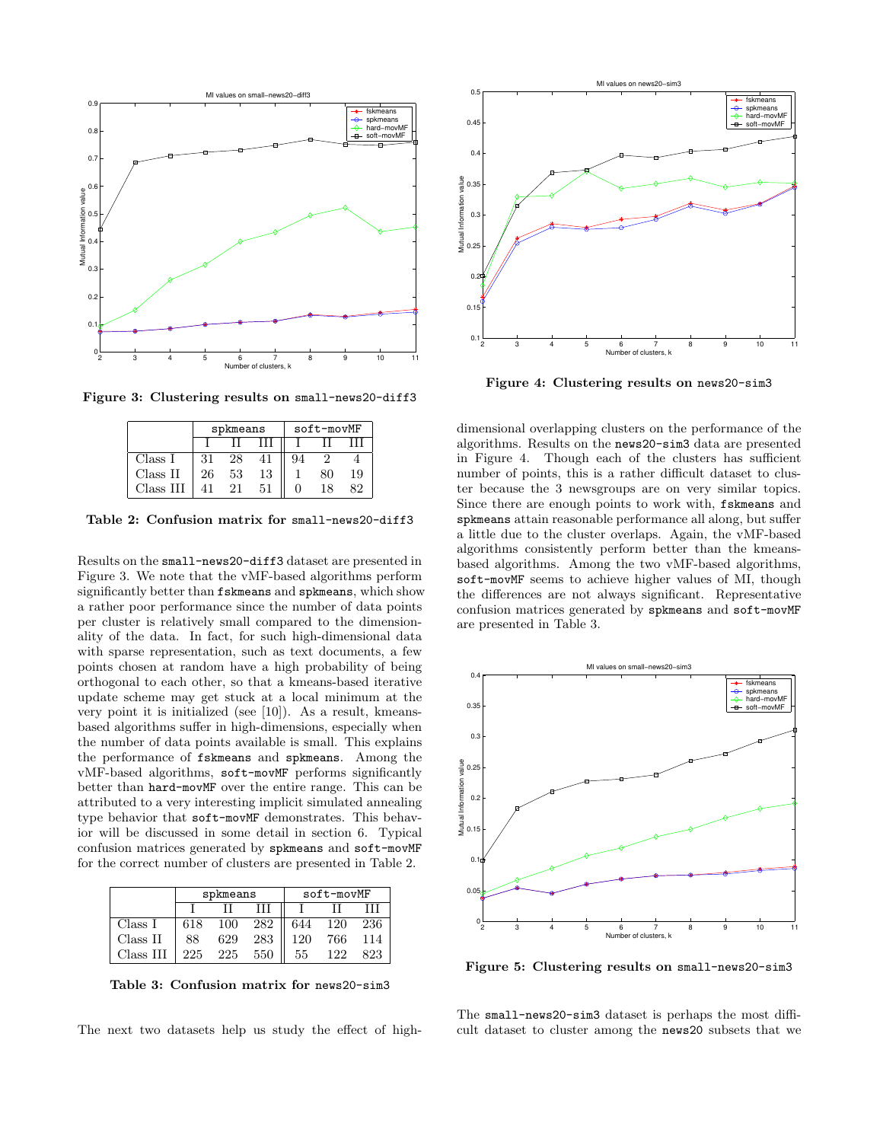

Figure 3: Clustering results on small-news20-diff3

|           | spkmeans |    |    | soft-movMF |    |    |
|-----------|----------|----|----|------------|----|----|
|           |          |    |    |            |    |    |
| Class I   | -31      | 28 |    | 94         |    |    |
| Class II  | 26       | 53 | 13 |            | 80 | 19 |
| Class III |          | 21 | 51 |            | 18 | 82 |

Table 2: Confusion matrix for small-news20-diff3

Results on the small-news20-diff3 dataset are presented in Figure 3. We note that the vMF-based algorithms perform significantly better than fskmeans and spkmeans, which show a rather poor performance since the number of data points per cluster is relatively small compared to the dimensionality of the data. In fact, for such high-dimensional data with sparse representation, such as text documents, a few points chosen at random have a high probability of being orthogonal to each other, so that a kmeans-based iterative update scheme may get stuck at a local minimum at the very point it is initialized (see [10]). As a result, kmeansbased algorithms suffer in high-dimensions, especially when the number of data points available is small. This explains the performance of fskmeans and spkmeans. Among the vMF-based algorithms, soft-movMF performs significantly better than hard-movMF over the entire range. This can be attributed to a very interesting implicit simulated annealing type behavior that soft-movMF demonstrates. This behavior will be discussed in some detail in section 6. Typical confusion matrices generated by spkmeans and soft-movMF for the correct number of clusters are presented in Table 2.

|           | spkmeans |     |     | soft-movMF |      |     |
|-----------|----------|-----|-----|------------|------|-----|
|           |          |     |     |            |      |     |
| Class I   | 618      | 100 | 282 | 644        | -120 | 236 |
| Class II  | 88       | 629 | 283 | 120        | 766  | 114 |
| Class III | 225      | 225 | 550 | 55         | 122  | 823 |

Table 3: Confusion matrix for news20-sim3

The next two datasets help us study the effect of high-



Figure 4: Clustering results on news20-sim3

dimensional overlapping clusters on the performance of the algorithms. Results on the news20-sim3 data are presented in Figure 4. Though each of the clusters has sufficient number of points, this is a rather difficult dataset to cluster because the 3 newsgroups are on very similar topics. Since there are enough points to work with, fskmeans and spkmeans attain reasonable performance all along, but suffer a little due to the cluster overlaps. Again, the vMF-based algorithms consistently perform better than the kmeansbased algorithms. Among the two vMF-based algorithms, soft-movMF seems to achieve higher values of MI, though the differences are not always significant. Representative confusion matrices generated by spkmeans and soft-movMF are presented in Table 3.



Figure 5: Clustering results on small-news20-sim3

The small-news20-sim3 dataset is perhaps the most difficult dataset to cluster among the news20 subsets that we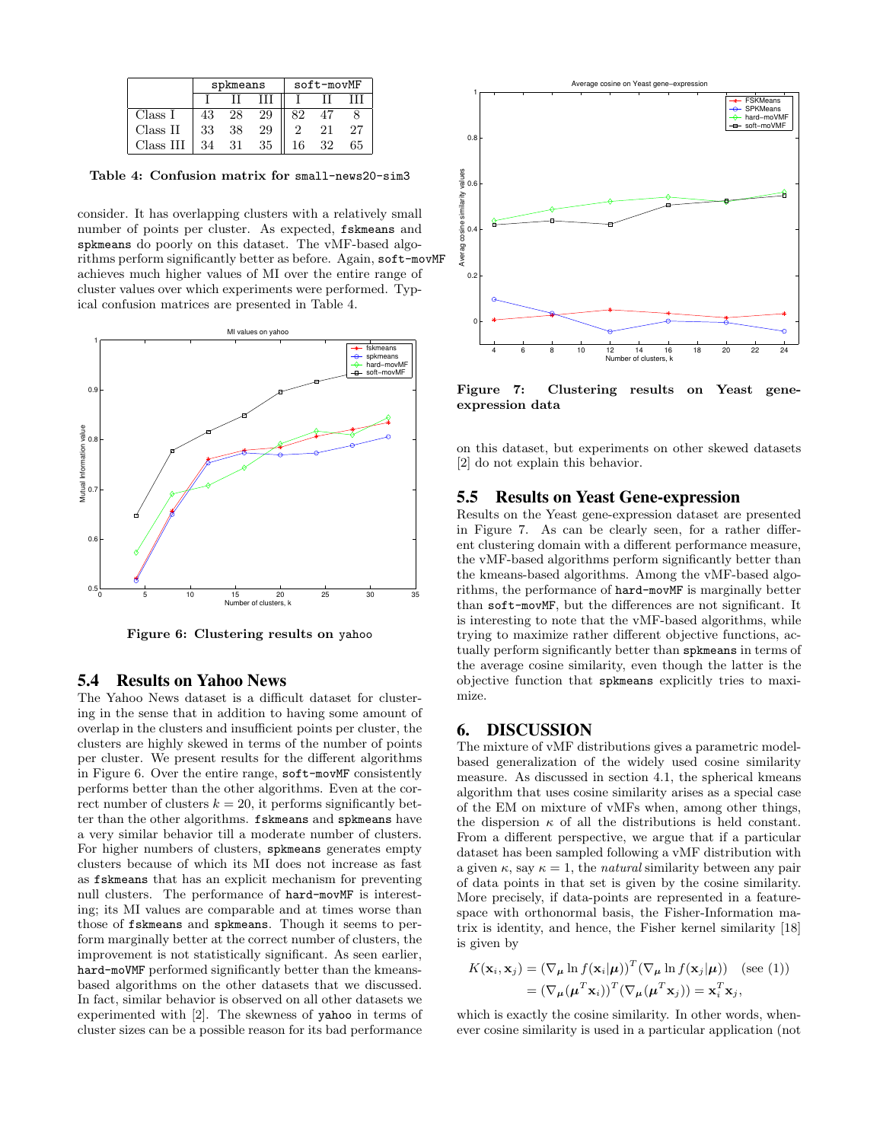|           | spkmeans |    |    | soft-movMF |    |    |
|-----------|----------|----|----|------------|----|----|
|           |          |    |    |            |    |    |
| Class 1   | 43       | 28 | 29 | -82        |    |    |
| Class II  | 33       | 38 | 29 |            | 21 | 27 |
| Class III | 34       | 31 | 35 | 16         | 32 | 65 |

Table 4: Confusion matrix for small-news20-sim3

consider. It has overlapping clusters with a relatively small number of points per cluster. As expected, fskmeans and spkmeans do poorly on this dataset. The vMF-based algorithms perform significantly better as before. Again, soft-movMF achieves much higher values of MI over the entire range of cluster values over which experiments were performed. Typical confusion matrices are presented in Table 4.



Figure 6: Clustering results on yahoo

# **5.4 Results on Yahoo News**

The Yahoo News dataset is a difficult dataset for clustering in the sense that in addition to having some amount of overlap in the clusters and insufficient points per cluster, the clusters are highly skewed in terms of the number of points per cluster. We present results for the different algorithms in Figure 6. Over the entire range, soft-movMF consistently performs better than the other algorithms. Even at the correct number of clusters  $k = 20$ , it performs significantly better than the other algorithms. fskmeans and spkmeans have a very similar behavior till a moderate number of clusters. For higher numbers of clusters, spkmeans generates empty clusters because of which its MI does not increase as fast as fskmeans that has an explicit mechanism for preventing null clusters. The performance of hard-movMF is interesting; its MI values are comparable and at times worse than those of fskmeans and spkmeans. Though it seems to perform marginally better at the correct number of clusters, the improvement is not statistically significant. As seen earlier, hard-moVMF performed significantly better than the kmeansbased algorithms on the other datasets that we discussed. In fact, similar behavior is observed on all other datasets we experimented with [2]. The skewness of yahoo in terms of cluster sizes can be a possible reason for its bad performance



Figure 7: Clustering results on Yeast geneexpression data

on this dataset, but experiments on other skewed datasets [2] do not explain this behavior.

#### **5.5 Results on Yeast Gene-expression**

Results on the Yeast gene-expression dataset are presented in Figure 7. As can be clearly seen, for a rather different clustering domain with a different performance measure, the vMF-based algorithms perform significantly better than the kmeans-based algorithms. Among the vMF-based algorithms, the performance of hard-movMF is marginally better than soft-movMF, but the differences are not significant. It is interesting to note that the vMF-based algorithms, while trying to maximize rather different objective functions, actually perform significantly better than spkmeans in terms of the average cosine similarity, even though the latter is the objective function that spkmeans explicitly tries to maximize.

### **6. DISCUSSION**

The mixture of vMF distributions gives a parametric modelbased generalization of the widely used cosine similarity measure. As discussed in section 4.1, the spherical kmeans algorithm that uses cosine similarity arises as a special case of the EM on mixture of vMFs when, among other things, the dispersion  $\kappa$  of all the distributions is held constant. From a different perspective, we argue that if a particular dataset has been sampled following a vMF distribution with a given  $\kappa$ , say  $\kappa = 1$ , the *natural* similarity between any pair of data points in that set is given by the cosine similarity. More precisely, if data-points are represented in a featurespace with orthonormal basis, the Fisher-Information matrix is identity, and hence, the Fisher kernel similarity [18] is given by

$$
K(\mathbf{x}_i, \mathbf{x}_j) = (\nabla_{\mu} \ln f(\mathbf{x}_i | \mu))^T (\nabla_{\mu} \ln f(\mathbf{x}_j | \mu))
$$
 (see (1))  
=  $(\nabla_{\mu} (\mu^T \mathbf{x}_i))^T (\nabla_{\mu} (\mu^T \mathbf{x}_j)) = \mathbf{x}_i^T \mathbf{x}_j$ ,

which is exactly the cosine similarity. In other words, whenever cosine similarity is used in a particular application (not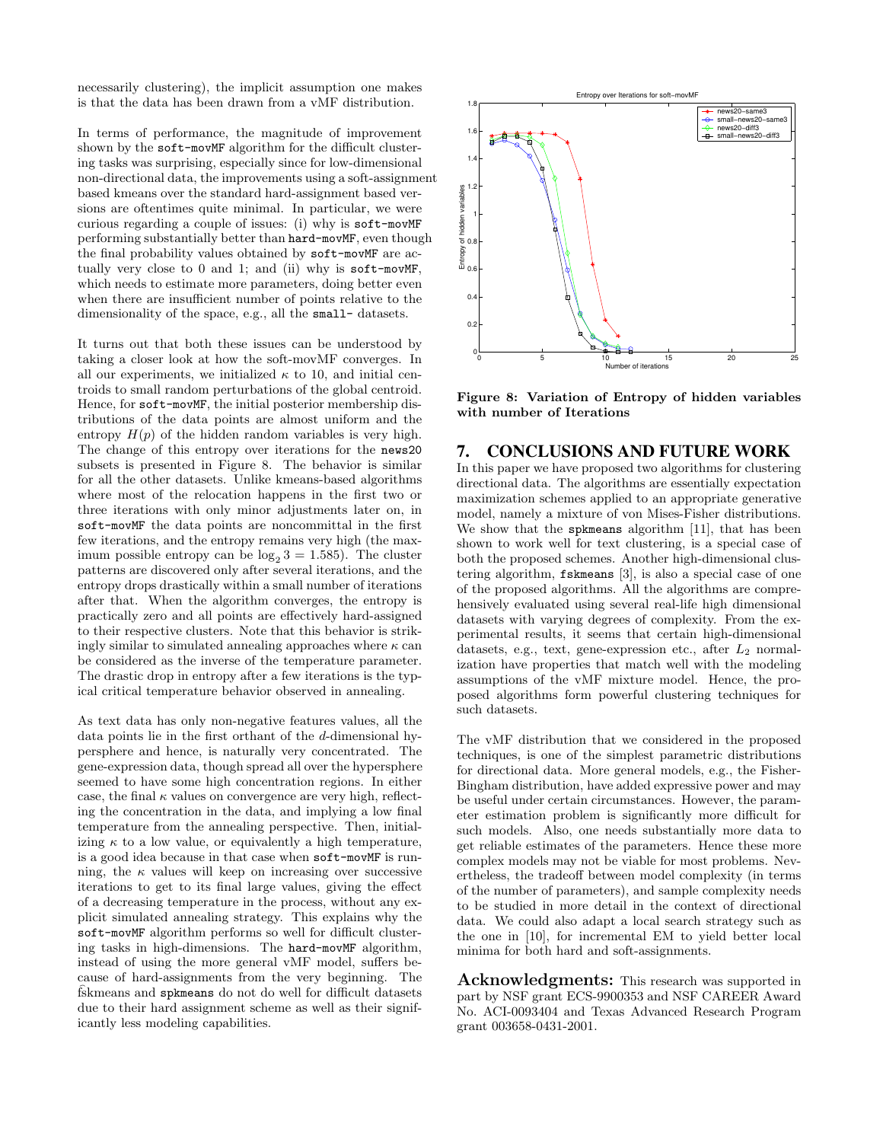necessarily clustering), the implicit assumption one makes is that the data has been drawn from a vMF distribution.

In terms of performance, the magnitude of improvement shown by the soft-movMF algorithm for the difficult clustering tasks was surprising, especially since for low-dimensional non-directional data, the improvements using a soft-assignment based kmeans over the standard hard-assignment based versions are oftentimes quite minimal. In particular, we were curious regarding a couple of issues: (i) why is soft-movMF performing substantially better than hard-movMF, even though the final probability values obtained by soft-movMF are actually very close to 0 and 1; and (ii) why is soft-movMF, which needs to estimate more parameters, doing better even when there are insufficient number of points relative to the dimensionality of the space, e.g., all the small- datasets.

It turns out that both these issues can be understood by taking a closer look at how the soft-movMF converges. In all our experiments, we initialized  $\kappa$  to 10, and initial centroids to small random perturbations of the global centroid. Hence, for soft-movMF, the initial posterior membership distributions of the data points are almost uniform and the entropy  $H(p)$  of the hidden random variables is very high. The change of this entropy over iterations for the news20 subsets is presented in Figure 8. The behavior is similar for all the other datasets. Unlike kmeans-based algorithms where most of the relocation happens in the first two or three iterations with only minor adjustments later on, in soft-movMF the data points are noncommittal in the first few iterations, and the entropy remains very high (the maximum possible entropy can be  $log_2 3 = 1.585$ . The cluster patterns are discovered only after several iterations, and the entropy drops drastically within a small number of iterations after that. When the algorithm converges, the entropy is practically zero and all points are effectively hard-assigned to their respective clusters. Note that this behavior is strikingly similar to simulated annealing approaches where  $\kappa$  can be considered as the inverse of the temperature parameter. The drastic drop in entropy after a few iterations is the typical critical temperature behavior observed in annealing.

As text data has only non-negative features values, all the data points lie in the first orthant of the d-dimensional hypersphere and hence, is naturally very concentrated. The gene-expression data, though spread all over the hypersphere seemed to have some high concentration regions. In either case, the final  $\kappa$  values on convergence are very high, reflecting the concentration in the data, and implying a low final temperature from the annealing perspective. Then, initializing  $\kappa$  to a low value, or equivalently a high temperature, is a good idea because in that case when soft-movMF is running, the  $\kappa$  values will keep on increasing over successive iterations to get to its final large values, giving the effect of a decreasing temperature in the process, without any explicit simulated annealing strategy. This explains why the soft-movMF algorithm performs so well for difficult clustering tasks in high-dimensions. The hard-movMF algorithm, instead of using the more general vMF model, suffers because of hard-assignments from the very beginning. The fskmeans and spkmeans do not do well for difficult datasets due to their hard assignment scheme as well as their significantly less modeling capabilities.



Figure 8: Variation of Entropy of hidden variables with number of Iterations

# **7. CONCLUSIONS AND FUTURE WORK**

In this paper we have proposed two algorithms for clustering directional data. The algorithms are essentially expectation maximization schemes applied to an appropriate generative model, namely a mixture of von Mises-Fisher distributions. We show that the **spkmeans** algorithm [11], that has been shown to work well for text clustering, is a special case of both the proposed schemes. Another high-dimensional clustering algorithm, fskmeans [3], is also a special case of one of the proposed algorithms. All the algorithms are comprehensively evaluated using several real-life high dimensional datasets with varying degrees of complexity. From the experimental results, it seems that certain high-dimensional datasets, e.g., text, gene-expression etc., after  $L_2$  normalization have properties that match well with the modeling assumptions of the vMF mixture model. Hence, the proposed algorithms form powerful clustering techniques for such datasets.

The vMF distribution that we considered in the proposed techniques, is one of the simplest parametric distributions for directional data. More general models, e.g., the Fisher-Bingham distribution, have added expressive power and may be useful under certain circumstances. However, the parameter estimation problem is significantly more difficult for such models. Also, one needs substantially more data to get reliable estimates of the parameters. Hence these more complex models may not be viable for most problems. Nevertheless, the tradeoff between model complexity (in terms of the number of parameters), and sample complexity needs to be studied in more detail in the context of directional data. We could also adapt a local search strategy such as the one in [10], for incremental EM to yield better local minima for both hard and soft-assignments.

Acknowledgments: This research was supported in part by NSF grant ECS-9900353 and NSF CAREER Award No. ACI-0093404 and Texas Advanced Research Program grant 003658-0431-2001.